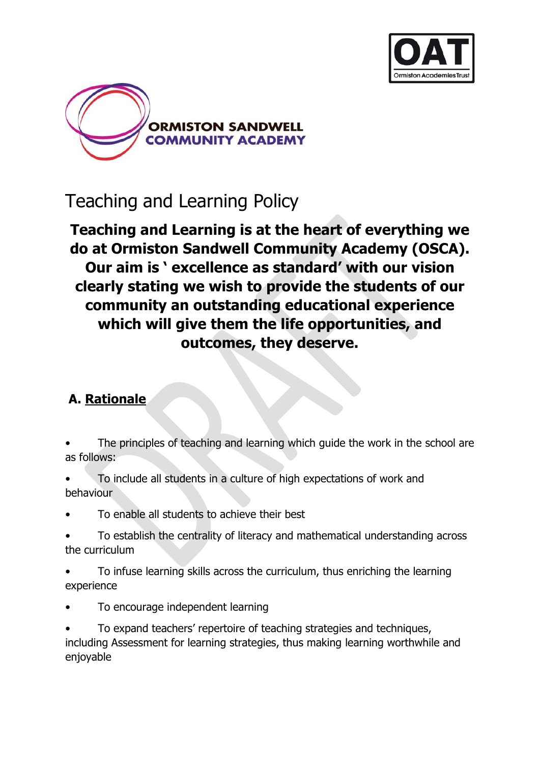



# Teaching and Learning Policy

**Teaching and Learning is at the heart of everything we do at Ormiston Sandwell Community Academy (OSCA). Our aim is ' excellence as standard' with our vision clearly stating we wish to provide the students of our community an outstanding educational experience which will give them the life opportunities, and outcomes, they deserve.**

# **A. Rationale**

- The principles of teaching and learning which guide the work in the school are as follows:
- To include all students in a culture of high expectations of work and behaviour
- To enable all students to achieve their best
- To establish the centrality of literacy and mathematical understanding across the curriculum
- To infuse learning skills across the curriculum, thus enriching the learning experience
- To encourage independent learning
- To expand teachers' repertoire of teaching strategies and techniques, including Assessment for learning strategies, thus making learning worthwhile and enjoyable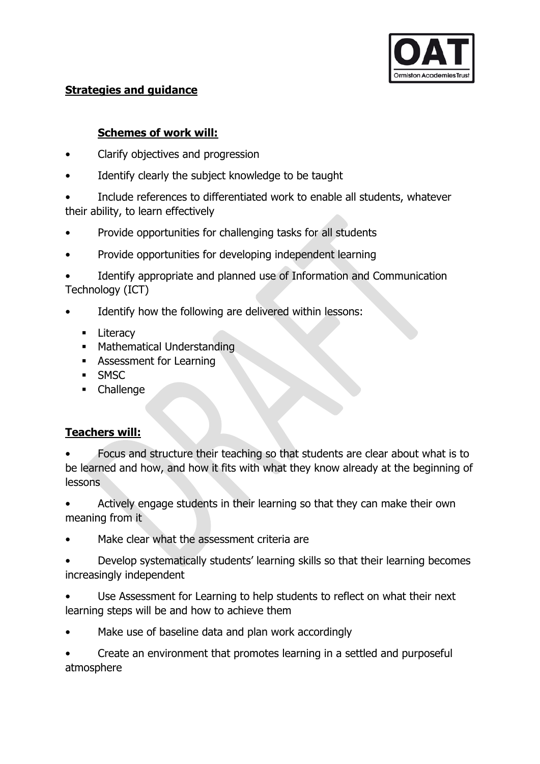

### **Strategies and guidance**

### **Schemes of work will:**

- Clarify objectives and progression
- Identify clearly the subject knowledge to be taught
- Include references to differentiated work to enable all students, whatever their ability, to learn effectively
- Provide opportunities for challenging tasks for all students
- Provide opportunities for developing independent learning
- Identify appropriate and planned use of Information and Communication Technology (ICT)
- Identify how the following are delivered within lessons:
	- **Literacy**
	- **Mathematical Understanding**
	- **Assessment for Learning**
	- **SMSC**
	- **-** Challenge

### **Teachers will:**

• Focus and structure their teaching so that students are clear about what is to be learned and how, and how it fits with what they know already at the beginning of lessons

- Actively engage students in their learning so that they can make their own meaning from it
- Make clear what the assessment criteria are
- Develop systematically students' learning skills so that their learning becomes increasingly independent
- Use Assessment for Learning to help students to reflect on what their next learning steps will be and how to achieve them
- Make use of baseline data and plan work accordingly

• Create an environment that promotes learning in a settled and purposeful atmosphere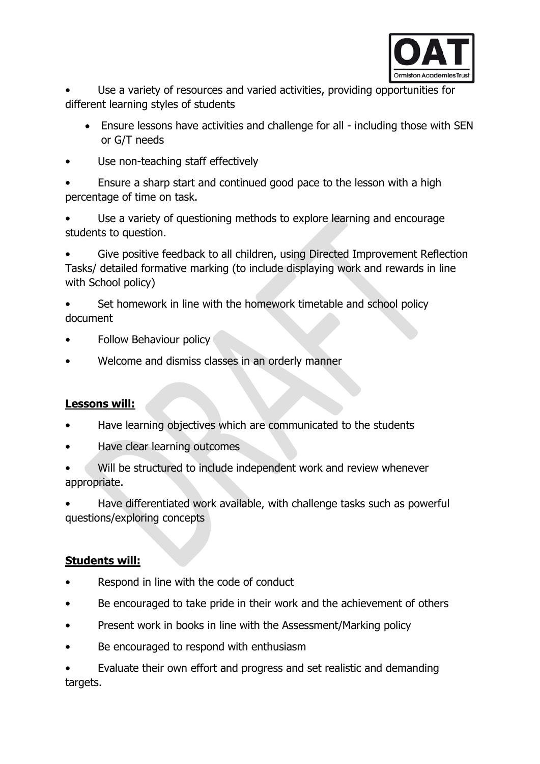

Use a variety of resources and varied activities, providing opportunities for different learning styles of students

- Ensure lessons have activities and challenge for all including those with SEN or G/T needs
- Use non-teaching staff effectively

• Ensure a sharp start and continued good pace to the lesson with a high percentage of time on task.

Use a variety of questioning methods to explore learning and encourage students to question.

• Give positive feedback to all children, using Directed Improvement Reflection Tasks/ detailed formative marking (to include displaying work and rewards in line with School policy)

• Set homework in line with the homework timetable and school policy document

- Follow Behaviour policy
- Welcome and dismiss classes in an orderly manner

### **Lessons will:**

- Have learning objectives which are communicated to the students
- Have clear learning outcomes

Will be structured to include independent work and review whenever appropriate.

• Have differentiated work available, with challenge tasks such as powerful questions/exploring concepts

#### **Students will:**

- Respond in line with the code of conduct
- Be encouraged to take pride in their work and the achievement of others
- Present work in books in line with the Assessment/Marking policy
- Be encouraged to respond with enthusiasm

• Evaluate their own effort and progress and set realistic and demanding targets.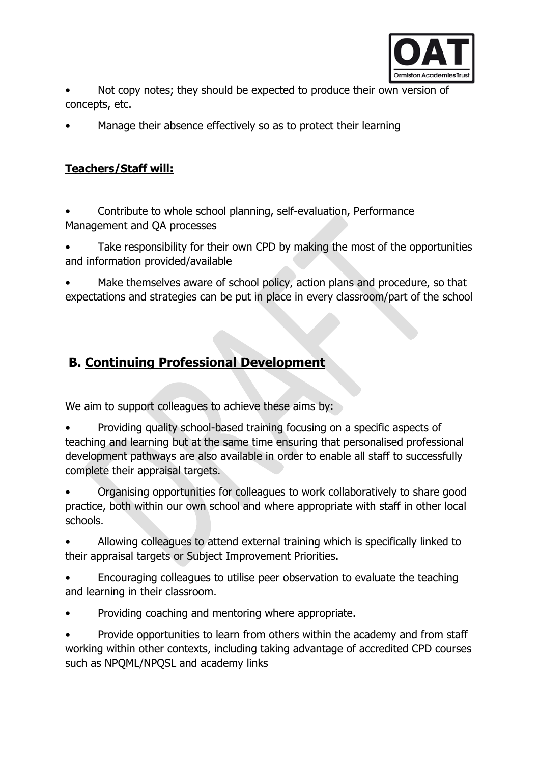

Not copy notes; they should be expected to produce their own version of concepts, etc.

• Manage their absence effectively so as to protect their learning

### **Teachers/Staff will:**

• Contribute to whole school planning, self-evaluation, Performance Management and QA processes

Take responsibility for their own CPD by making the most of the opportunities and information provided/available

Make themselves aware of school policy, action plans and procedure, so that expectations and strategies can be put in place in every classroom/part of the school

# **B. Continuing Professional Development**

We aim to support colleagues to achieve these aims by:

• Providing quality school-based training focusing on a specific aspects of teaching and learning but at the same time ensuring that personalised professional development pathways are also available in order to enable all staff to successfully complete their appraisal targets.

• Organising opportunities for colleagues to work collaboratively to share good practice, both within our own school and where appropriate with staff in other local schools.

• Allowing colleagues to attend external training which is specifically linked to their appraisal targets or Subject Improvement Priorities.

• Encouraging colleagues to utilise peer observation to evaluate the teaching and learning in their classroom.

• Providing coaching and mentoring where appropriate.

• Provide opportunities to learn from others within the academy and from staff working within other contexts, including taking advantage of accredited CPD courses such as NPQML/NPQSL and academy links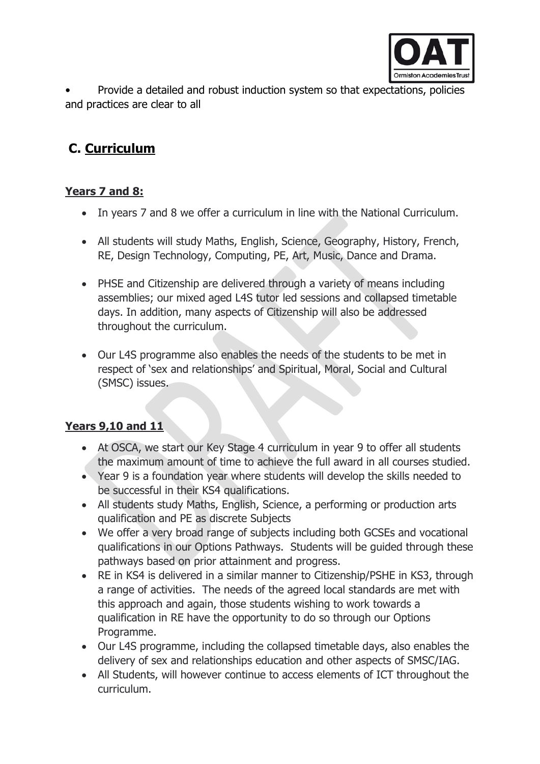

• Provide a detailed and robust induction system so that expectations, policies and practices are clear to all

# **C. Curriculum**

## **Years 7 and 8:**

- In years 7 and 8 we offer a curriculum in line with the National Curriculum.
- All students will study Maths, English, Science, Geography, History, French, RE, Design Technology, Computing, PE, Art, Music, Dance and Drama.
- PHSE and Citizenship are delivered through a variety of means including assemblies; our mixed aged L4S tutor led sessions and collapsed timetable days. In addition, many aspects of Citizenship will also be addressed throughout the curriculum.
- Our L4S programme also enables the needs of the students to be met in respect of 'sex and relationships' and Spiritual, Moral, Social and Cultural (SMSC) issues.

### **Years 9,10 and 11**

- At OSCA, we start our Key Stage 4 curriculum in year 9 to offer all students the maximum amount of time to achieve the full award in all courses studied.
- Year 9 is a foundation year where students will develop the skills needed to be successful in their KS4 qualifications.
- All students study Maths, English, Science, a performing or production arts qualification and PE as discrete Subjects
- We offer a very broad range of subjects including both GCSEs and vocational qualifications in our Options Pathways. Students will be guided through these pathways based on prior attainment and progress.
- RE in KS4 is delivered in a similar manner to Citizenship/PSHE in KS3, through a range of activities. The needs of the agreed local standards are met with this approach and again, those students wishing to work towards a qualification in RE have the opportunity to do so through our Options Programme.
- Our L4S programme, including the collapsed timetable days, also enables the delivery of sex and relationships education and other aspects of SMSC/IAG.
- All Students, will however continue to access elements of ICT throughout the curriculum.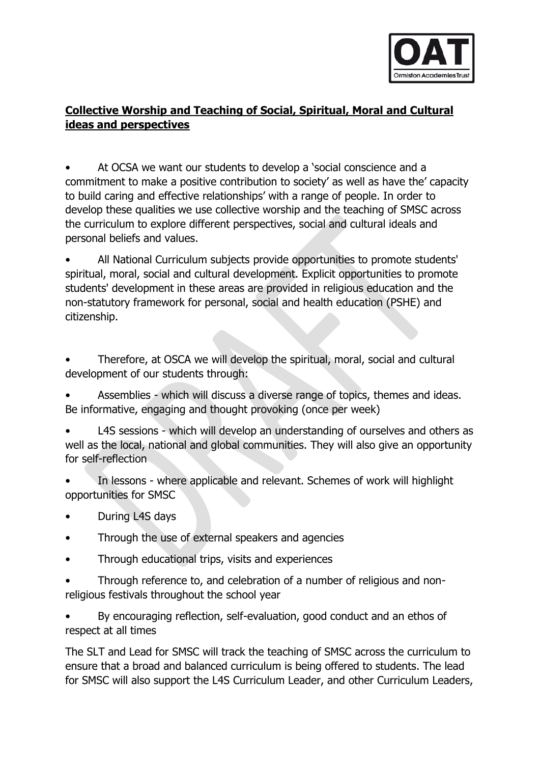

### **Collective Worship and Teaching of Social, Spiritual, Moral and Cultural ideas and perspectives**

• At OCSA we want our students to develop a 'social conscience and a commitment to make a positive contribution to society' as well as have the' capacity to build caring and effective relationships' with a range of people. In order to develop these qualities we use collective worship and the teaching of SMSC across the curriculum to explore different perspectives, social and cultural ideals and personal beliefs and values.

• All National Curriculum subjects provide opportunities to promote students' spiritual, moral, social and cultural development. Explicit opportunities to promote students' development in these areas are provided in religious education and the non-statutory framework for personal, social and health education (PSHE) and citizenship.

• Therefore, at OSCA we will develop the spiritual, moral, social and cultural development of our students through:

• Assemblies - which will discuss a diverse range of topics, themes and ideas. Be informative, engaging and thought provoking (once per week)

L4S sessions - which will develop an understanding of ourselves and others as well as the local, national and global communities. They will also give an opportunity for self-reflection

• In lessons - where applicable and relevant. Schemes of work will highlight opportunities for SMSC

- During L4S days
- Through the use of external speakers and agencies
- Through educational trips, visits and experiences

• Through reference to, and celebration of a number of religious and nonreligious festivals throughout the school year

• By encouraging reflection, self-evaluation, good conduct and an ethos of respect at all times

The SLT and Lead for SMSC will track the teaching of SMSC across the curriculum to ensure that a broad and balanced curriculum is being offered to students. The lead for SMSC will also support the L4S Curriculum Leader, and other Curriculum Leaders,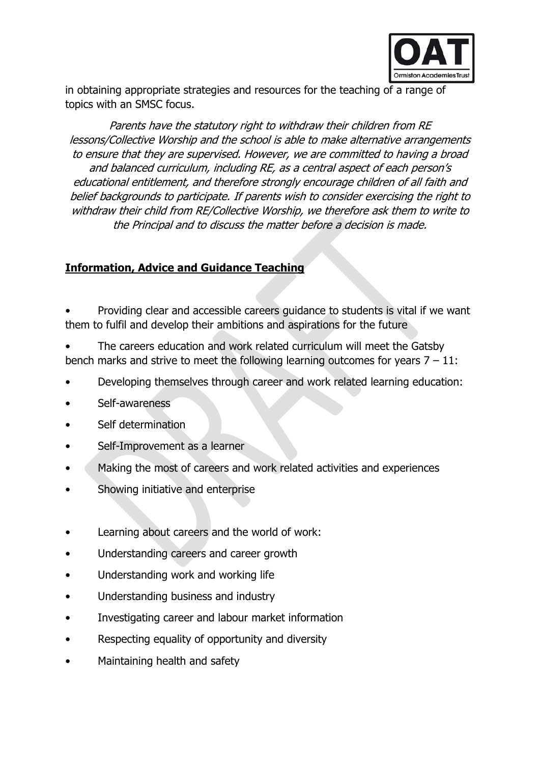

in obtaining appropriate strategies and resources for the teaching of a range of topics with an SMSC focus.

Parents have the statutory right to withdraw their children from RE lessons/Collective Worship and the school is able to make alternative arrangements to ensure that they are supervised. However, we are committed to having a broad and balanced curriculum, including RE, as a central aspect of each person's educational entitlement, and therefore strongly encourage children of all faith and belief backgrounds to participate. If parents wish to consider exercising the right to withdraw their child from RE/Collective Worship, we therefore ask them to write to the Principal and to discuss the matter before a decision is made.

#### **Information, Advice and Guidance Teaching**

• Providing clear and accessible careers guidance to students is vital if we want them to fulfil and develop their ambitions and aspirations for the future

• The careers education and work related curriculum will meet the Gatsby bench marks and strive to meet the following learning outcomes for years  $7 - 11$ :

- Developing themselves through career and work related learning education:
- Self-awareness
- Self determination
- Self-Improvement as a learner
- Making the most of careers and work related activities and experiences
- Showing initiative and enterprise
- Learning about careers and the world of work:
- Understanding careers and career growth
- Understanding work and working life
- Understanding business and industry
- Investigating career and labour market information
- Respecting equality of opportunity and diversity
- Maintaining health and safety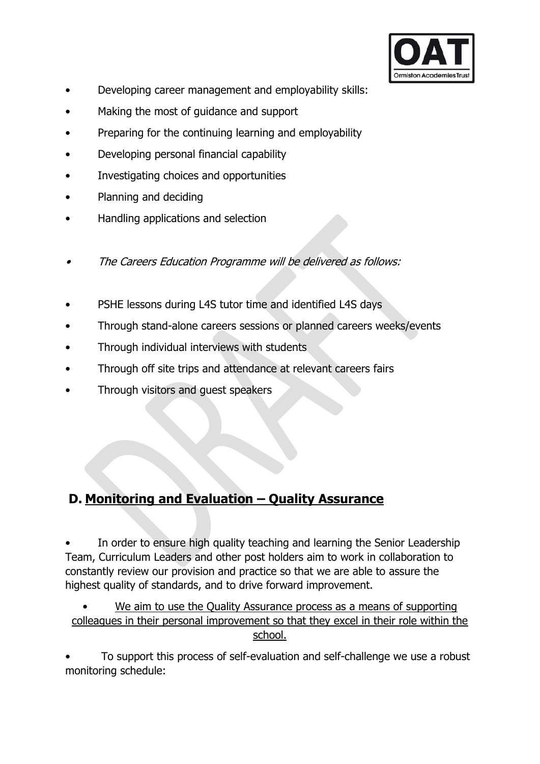

- Developing career management and employability skills:
- Making the most of guidance and support
- Preparing for the continuing learning and employability
- Developing personal financial capability
- Investigating choices and opportunities
- Planning and deciding
- Handling applications and selection
- •The Careers Education Programme will be delivered as follows:
- PSHE lessons during L4S tutor time and identified L4S days
- Through stand-alone careers sessions or planned careers weeks/events
- Through individual interviews with students
- Through off site trips and attendance at relevant careers fairs
- Through visitors and guest speakers

# **D. Monitoring and Evaluation – Quality Assurance**

In order to ensure high quality teaching and learning the Senior Leadership Team, Curriculum Leaders and other post holders aim to work in collaboration to constantly review our provision and practice so that we are able to assure the highest quality of standards, and to drive forward improvement.

We aim to use the Quality Assurance process as a means of supporting colleagues in their personal improvement so that they excel in their role within the school.

• To support this process of self-evaluation and self-challenge we use a robust monitoring schedule: